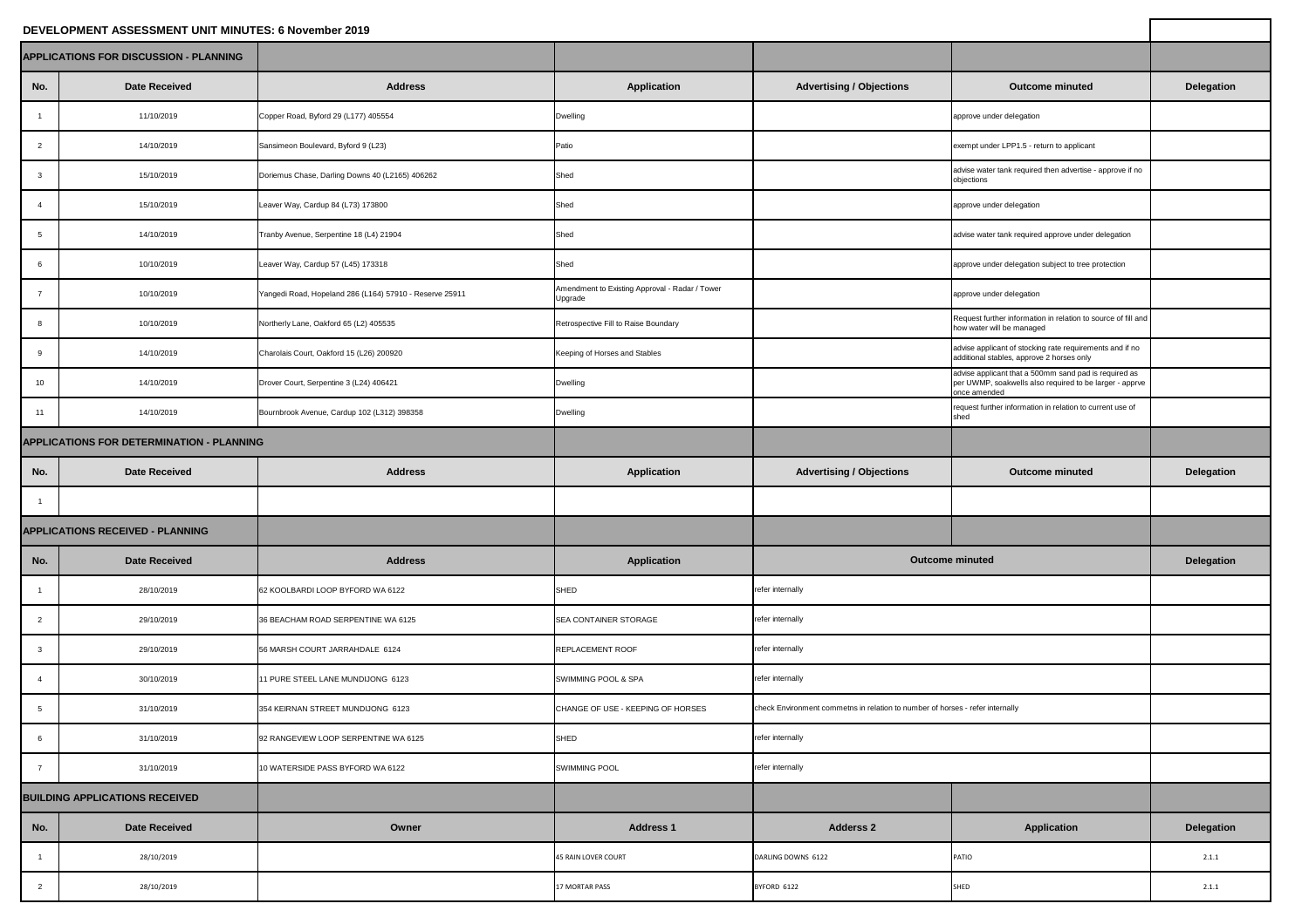## **DEVELOPMENT ASSESSMENT UNIT MINUTES: 6 November 2019**

| DEVELOPMENT ASSESSMENT UNIT MINUTES: 6 November 2019 |                                                  |                                                         |                                                           |                                                                               |                                                                                                                                  |                   |
|------------------------------------------------------|--------------------------------------------------|---------------------------------------------------------|-----------------------------------------------------------|-------------------------------------------------------------------------------|----------------------------------------------------------------------------------------------------------------------------------|-------------------|
|                                                      | <b>APPLICATIONS FOR DISCUSSION - PLANNING</b>    |                                                         |                                                           |                                                                               |                                                                                                                                  |                   |
| No.                                                  | <b>Date Received</b>                             | <b>Address</b>                                          | <b>Application</b>                                        | <b>Advertising / Objections</b>                                               | <b>Outcome minuted</b>                                                                                                           | <b>Delegation</b> |
|                                                      | 11/10/2019                                       | Copper Road, Byford 29 (L177) 405554                    | <b>Dwelling</b>                                           |                                                                               | approve under delegation                                                                                                         |                   |
| 2                                                    | 14/10/2019                                       | Sansimeon Boulevard, Byford 9 (L23)                     | Patio                                                     |                                                                               | exempt under LPP1.5 - return to applicant                                                                                        |                   |
| $\mathbf{3}$                                         | 15/10/2019                                       | Doriemus Chase, Darling Downs 40 (L2165) 406262         | Shed                                                      |                                                                               | advise water tank required then advertise - approve if no<br>objections                                                          |                   |
| -4                                                   | 15/10/2019                                       | Leaver Way, Cardup 84 (L73) 173800                      | Shed                                                      |                                                                               | approve under delegation                                                                                                         |                   |
| 5                                                    | 14/10/2019                                       | Tranby Avenue, Serpentine 18 (L4) 21904                 | Shed                                                      |                                                                               | advise water tank required approve under delegation                                                                              |                   |
| 6                                                    | 10/10/2019                                       | Leaver Way, Cardup 57 (L45) 173318                      | Shed                                                      |                                                                               | approve under delegation subject to tree protection                                                                              |                   |
| $\overline{7}$                                       | 10/10/2019                                       | Yangedi Road, Hopeland 286 (L164) 57910 - Reserve 25911 | Amendment to Existing Approval - Radar / Tower<br>Upgrade |                                                                               | approve under delegation                                                                                                         |                   |
| $\mathsf{R}$                                         | 10/10/2019                                       | Northerly Lane, Oakford 65 (L2) 405535                  | Retrospective Fill to Raise Boundary                      |                                                                               | Request further information in relation to source of fill and<br>how water will be managed                                       |                   |
| 9                                                    | 14/10/2019                                       | Charolais Court, Oakford 15 (L26) 200920                | Keeping of Horses and Stables                             |                                                                               | advise applicant of stocking rate requirements and if no<br>additional stables, approve 2 horses only                            |                   |
| 10 <sup>1</sup>                                      | 14/10/2019                                       | Drover Court, Serpentine 3 (L24) 406421                 | <b>Dwelling</b>                                           |                                                                               | advise applicant that a 500mm sand pad is required as<br>per UWMP, soakwells also required to be larger - apprve<br>once amended |                   |
| 11                                                   | 14/10/2019                                       | Bournbrook Avenue, Cardup 102 (L312) 398358             | <b>Dwelling</b>                                           |                                                                               | request further information in relation to current use of<br>shed                                                                |                   |
|                                                      | <b>APPLICATIONS FOR DETERMINATION - PLANNING</b> |                                                         |                                                           |                                                                               |                                                                                                                                  |                   |
| No.                                                  | <b>Date Received</b>                             | <b>Address</b>                                          | <b>Application</b>                                        | <b>Advertising / Objections</b>                                               | <b>Outcome minuted</b>                                                                                                           | <b>Delegation</b> |
|                                                      |                                                  |                                                         |                                                           |                                                                               |                                                                                                                                  |                   |
|                                                      | <b>APPLICATIONS RECEIVED - PLANNING</b>          |                                                         |                                                           |                                                                               |                                                                                                                                  |                   |
| No.                                                  | <b>Date Received</b>                             | <b>Address</b>                                          | <b>Application</b>                                        |                                                                               | <b>Outcome minuted</b>                                                                                                           | <b>Delegation</b> |
|                                                      | 28/10/2019                                       | 62 KOOLBARDI LOOP BYFORD WA 6122                        | SHED                                                      | refer internally                                                              |                                                                                                                                  |                   |
| $\overline{2}$                                       | 29/10/2019                                       | 36 BEACHAM ROAD SERPENTINE WA 6125                      | SEA CONTAINER STORAGE                                     | refer internally                                                              |                                                                                                                                  |                   |
| $\mathbf{3}$                                         | 29/10/2019                                       | 56 MARSH COURT JARRAHDALE 6124                          | <b>REPLACEMENT ROOF</b>                                   | refer internally                                                              |                                                                                                                                  |                   |
| $\overline{4}$                                       | 30/10/2019                                       | 1 PURE STEEL LANE MUNDIJONG 6123                        | SWIMMING POOL & SPA                                       | refer internally                                                              |                                                                                                                                  |                   |
| 5                                                    | 31/10/2019                                       | 354 KEIRNAN STREET MUNDIJONG 6123                       | CHANGE OF USE - KEEPING OF HORSES                         | check Environment commetns in relation to number of horses - refer internally |                                                                                                                                  |                   |
| 6                                                    | 31/10/2019                                       | 92 RANGEVIEW LOOP SERPENTINE WA 6125                    | SHED                                                      | refer internally                                                              |                                                                                                                                  |                   |
| $\overline{7}$                                       | 31/10/2019                                       | 10 WATERSIDE PASS BYFORD WA 6122                        | <b>SWIMMING POOL</b>                                      | refer internally                                                              |                                                                                                                                  |                   |
|                                                      | <b>BUILDING APPLICATIONS RECEIVED</b>            |                                                         |                                                           |                                                                               |                                                                                                                                  |                   |
| No.                                                  | <b>Date Received</b>                             | Owner                                                   | <b>Address 1</b>                                          | <b>Adderss 2</b>                                                              | <b>Application</b>                                                                                                               | <b>Delegation</b> |
|                                                      | 28/10/2019                                       |                                                         | 45 RAIN LOVER COURT                                       | DARLING DOWNS 6122                                                            | <b>PATIO</b>                                                                                                                     | 2.1.1             |
| $\overline{2}$                                       | 28/10/2019                                       |                                                         | <b>17 MORTAR PASS</b>                                     | BYFORD 6122                                                                   | SHED                                                                                                                             | 2.1.1             |
|                                                      |                                                  |                                                         |                                                           |                                                                               |                                                                                                                                  |                   |

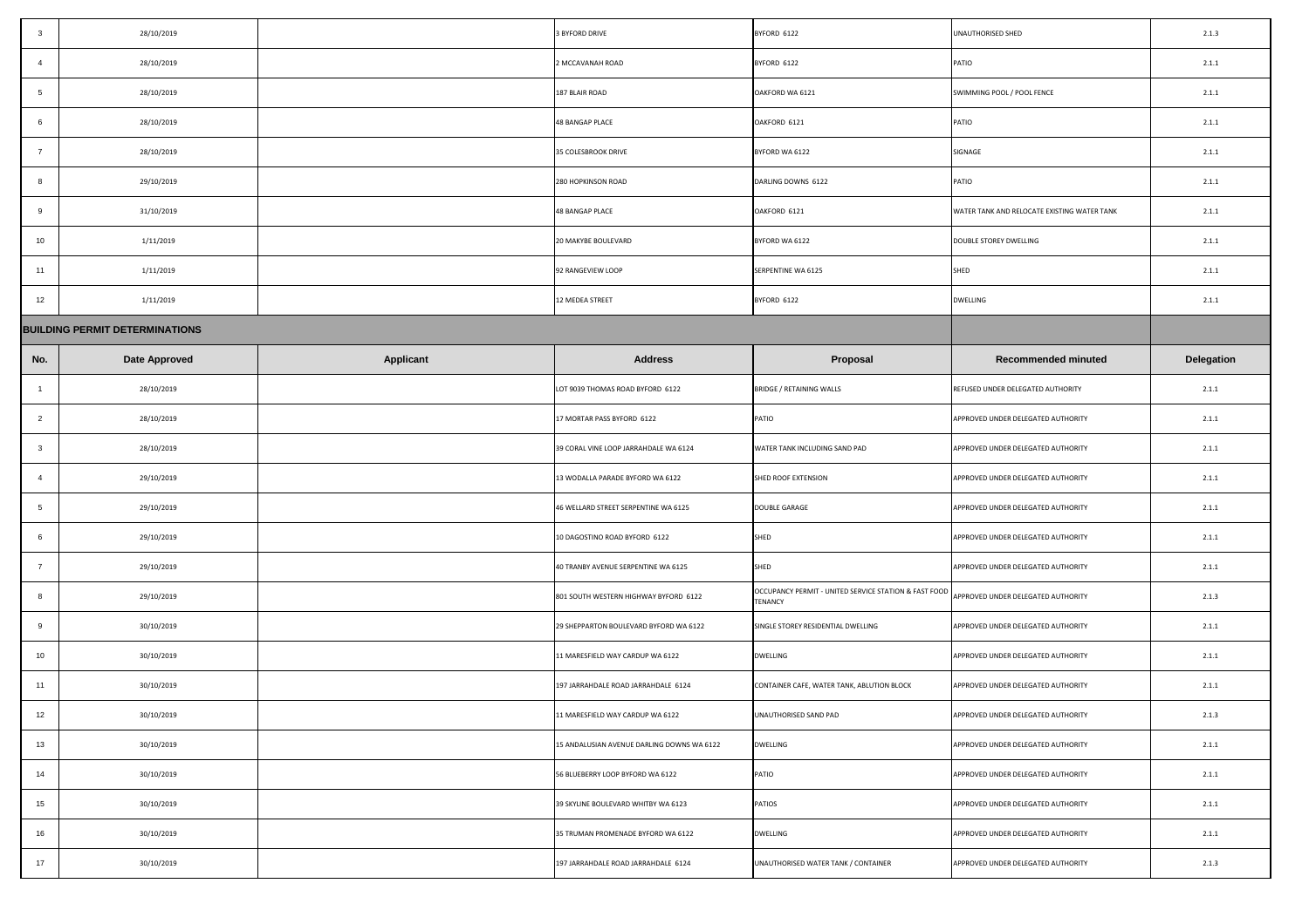| $\overline{\mathbf{3}}$ | 28/10/2019                            |                  | 3 BYFORD DRIVE                             | BYFORD 6122                                                                                         | UNAUTHORISED SHED                           | 2.1.3             |
|-------------------------|---------------------------------------|------------------|--------------------------------------------|-----------------------------------------------------------------------------------------------------|---------------------------------------------|-------------------|
| -4                      | 28/10/2019                            |                  | 2 MCCAVANAH ROAD                           | BYFORD 6122                                                                                         | PATIO                                       | 2.1.1             |
| 5 <sup>5</sup>          | 28/10/2019                            |                  | 187 BLAIR ROAD                             | OAKFORD WA 6121                                                                                     | SWIMMING POOL / POOL FENCE                  | 2.1.1             |
| 6                       | 28/10/2019                            |                  | <b>48 BANGAP PLACE</b>                     | OAKFORD 6121                                                                                        | PATIO                                       | 2.1.1             |
| $\overline{7}$          | 28/10/2019                            |                  | 35 COLESBROOK DRIVE                        | BYFORD WA 6122                                                                                      | SIGNAGE                                     | 2.1.1             |
| - 8                     | 29/10/2019                            |                  | 280 HOPKINSON ROAD                         | DARLING DOWNS 6122                                                                                  | PATIO                                       | 2.1.1             |
| 9                       | 31/10/2019                            |                  | <b>48 BANGAP PLACE</b>                     | OAKFORD 6121                                                                                        | WATER TANK AND RELOCATE EXISTING WATER TANK | 2.1.1             |
| 10                      | 1/11/2019                             |                  | 20 MAKYBE BOULEVARD                        | BYFORD WA 6122                                                                                      | DOUBLE STOREY DWELLING                      | 2.1.1             |
| $-11$                   | 1/11/2019                             |                  | 92 RANGEVIEW LOOP                          | SERPENTINE WA 6125                                                                                  | SHED                                        | 2.1.1             |
| 12                      | 1/11/2019                             |                  | 12 MEDEA STREET                            | BYFORD 6122                                                                                         | <b>DWELLING</b>                             | 2.1.1             |
|                         | <b>BUILDING PERMIT DETERMINATIONS</b> |                  |                                            |                                                                                                     |                                             |                   |
| No.                     | <b>Date Approved</b>                  | <b>Applicant</b> | <b>Address</b>                             | <b>Proposal</b>                                                                                     | <b>Recommended minuted</b>                  | <b>Delegation</b> |
|                         | 28/10/2019                            |                  | LOT 9039 THOMAS ROAD BYFORD 6122           | <b>BRIDGE / RETAINING WALLS</b>                                                                     | REFUSED UNDER DELEGATED AUTHORITY           | 2.1.1             |
| 2                       | 28/10/2019                            |                  | 17 MORTAR PASS BYFORD 6122                 | PATIO                                                                                               | APPROVED UNDER DELEGATED AUTHORITY          | 2.1.1             |
| $\overline{3}$          | 28/10/2019                            |                  | 39 CORAL VINE LOOP JARRAHDALE WA 6124      | WATER TANK INCLUDING SAND PAD                                                                       | APPROVED UNDER DELEGATED AUTHORITY          | 2.1.1             |
|                         | 29/10/2019                            |                  | 13 WODALLA PARADE BYFORD WA 6122           | SHED ROOF EXTENSION                                                                                 | APPROVED UNDER DELEGATED AUTHORITY          | 2.1.1             |
| $5\overline{)}$         | 29/10/2019                            |                  | 46 WELLARD STREET SERPENTINE WA 6125       | <b>DOUBLE GARAGE</b>                                                                                | APPROVED UNDER DELEGATED AUTHORITY          | 2.1.1             |
| -6                      | 29/10/2019                            |                  | 10 DAGOSTINO ROAD BYFORD 6122              | SHED                                                                                                | APPROVED UNDER DELEGATED AUTHORITY          | 2.1.1             |
|                         | 29/10/2019                            |                  | 40 TRANBY AVENUE SERPENTINE WA 6125        | SHED                                                                                                | APPROVED UNDER DELEGATED AUTHORITY          | 2.1.1             |
| - 8                     | 29/10/2019                            |                  | 801 SOUTH WESTERN HIGHWAY BYFORD 6122      | OCCUPANCY PERMIT - UNITED SERVICE STATION & FAST FOOD APPROVED UNDER DELEGATED AUTHORITY<br>TENANCY |                                             | 2.1.3             |
| - 9                     | 30/10/2019                            |                  | 29 SHEPPARTON BOULEVARD BYFORD WA 6122     | SINGLE STOREY RESIDENTIAL DWELLING                                                                  | APPROVED UNDER DELEGATED AUTHORITY          | 2.1.1             |
| 10                      | 30/10/2019                            |                  | 11 MARESFIELD WAY CARDUP WA 6122           | <b>DWELLING</b>                                                                                     | APPROVED UNDER DELEGATED AUTHORITY          | 2.1.1             |
| 11                      | 30/10/2019                            |                  | 197 JARRAHDALE ROAD JARRAHDALE 6124        | CONTAINER CAFE, WATER TANK, ABLUTION BLOCK                                                          | APPROVED UNDER DELEGATED AUTHORITY          | 2.1.1             |
| 12                      | 30/10/2019                            |                  | 11 MARESFIELD WAY CARDUP WA 6122           | UNAUTHORISED SAND PAD                                                                               | APPROVED UNDER DELEGATED AUTHORITY          | 2.1.3             |
| 13                      | 30/10/2019                            |                  | 15 ANDALUSIAN AVENUE DARLING DOWNS WA 6122 | <b>DWELLING</b>                                                                                     | APPROVED UNDER DELEGATED AUTHORITY          | 2.1.1             |
| 14                      | 30/10/2019                            |                  | 56 BLUEBERRY LOOP BYFORD WA 6122           | PATIO                                                                                               | APPROVED UNDER DELEGATED AUTHORITY          | 2.1.1             |
| 15                      | 30/10/2019                            |                  | 39 SKYLINE BOULEVARD WHITBY WA 6123        | <b>PATIOS</b>                                                                                       | APPROVED UNDER DELEGATED AUTHORITY          | 2.1.1             |
| 16                      | 30/10/2019                            |                  | 35 TRUMAN PROMENADE BYFORD WA 6122         | <b>DWELLING</b>                                                                                     | APPROVED UNDER DELEGATED AUTHORITY          | 2.1.1             |
| 17                      | 30/10/2019                            |                  | 197 JARRAHDALE ROAD JARRAHDALE 6124        | UNAUTHORISED WATER TANK / CONTAINER                                                                 | APPROVED UNDER DELEGATED AUTHORITY          | 2.1.3             |

| -3             | 28/10/2019                            |                  | 3 BYFORD DRIVE                             | BYFORD 6122                                                             | UNAUTHORISED SHED                           | 2.1.3             |
|----------------|---------------------------------------|------------------|--------------------------------------------|-------------------------------------------------------------------------|---------------------------------------------|-------------------|
|                | 28/10/2019                            |                  | 2 MCCAVANAH ROAD                           | BYFORD 6122                                                             | <b>PATIO</b>                                | 2.1.1             |
|                | 28/10/2019                            |                  | 187 BLAIR ROAD                             | OAKFORD WA 6121                                                         | SWIMMING POOL / POOL FENCE                  | 2.1.1             |
| -6             | 28/10/2019                            |                  | 48 BANGAP PLACE                            | OAKFORD 6121                                                            | <b>PATIO</b>                                | 2.1.1             |
|                | 28/10/2019                            |                  | 35 COLESBROOK DRIVE                        | BYFORD WA 6122                                                          | SIGNAGE                                     | 2.1.1             |
|                | 29/10/2019                            |                  | 280 HOPKINSON ROAD                         | DARLING DOWNS 6122                                                      | <b>PATIO</b>                                | 2.1.1             |
| 9              | 31/10/2019                            |                  | 48 BANGAP PLACE                            | OAKFORD 6121                                                            | WATER TANK AND RELOCATE EXISTING WATER TANK | 2.1.1             |
| 10             | 1/11/2019                             |                  | 20 MAKYBE BOULEVARD                        | BYFORD WA 6122                                                          | DOUBLE STOREY DWELLING                      | 2.1.1             |
| 11             | 1/11/2019                             |                  | 92 RANGEVIEW LOOP                          | SERPENTINE WA 6125                                                      | <b>SHED</b>                                 | 2.1.1             |
| 12             | 1/11/2019                             |                  | 12 MEDEA STREET                            | BYFORD 6122                                                             | <b>DWELLING</b>                             | 2.1.1             |
|                | <b>BUILDING PERMIT DETERMINATIONS</b> |                  |                                            |                                                                         |                                             |                   |
| No.            | <b>Date Approved</b>                  | <b>Applicant</b> | <b>Address</b>                             | <b>Proposal</b>                                                         | <b>Recommended minuted</b>                  | <b>Delegation</b> |
|                | 28/10/2019                            |                  | LOT 9039 THOMAS ROAD BYFORD 6122           | BRIDGE / RETAINING WALLS                                                | REFUSED UNDER DELEGATED AUTHORITY           | 2.1.1             |
| $\overline{2}$ | 28/10/2019                            |                  | 17 MORTAR PASS BYFORD 6122                 | PATIO                                                                   | APPROVED UNDER DELEGATED AUTHORITY          | 2.1.1             |
|                | 28/10/2019                            |                  | 39 CORAL VINE LOOP JARRAHDALE WA 6124      | WATER TANK INCLUDING SAND PAD                                           | APPROVED UNDER DELEGATED AUTHORITY          | 2.1.1             |
|                | 29/10/2019                            |                  | 13 WODALLA PARADE BYFORD WA 6122           | SHED ROOF EXTENSION                                                     | APPROVED UNDER DELEGATED AUTHORITY          | 2.1.1             |
|                | 29/10/2019                            |                  | 46 WELLARD STREET SERPENTINE WA 6125       | <b>DOUBLE GARAGE</b>                                                    | APPROVED UNDER DELEGATED AUTHORITY          | 2.1.1             |
|                | 29/10/2019                            |                  | 10 DAGOSTINO ROAD BYFORD 6122              | <b>SHED</b>                                                             | APPROVED UNDER DELEGATED AUTHORITY          | 2.1.1             |
|                | 29/10/2019                            |                  | 40 TRANBY AVENUE SERPENTINE WA 6125        | <b>SHED</b>                                                             | APPROVED UNDER DELEGATED AUTHORITY          | 2.1.1             |
|                | 29/10/2019                            |                  | 801 SOUTH WESTERN HIGHWAY BYFORD 6122      | OCCUPANCY PERMIT - UNITED SERVICE STATION & FAST FOOD<br><b>TENANCY</b> | APPROVED UNDER DELEGATED AUTHORITY          | 2.1.3             |
|                | 30/10/2019                            |                  | 29 SHEPPARTON BOULEVARD BYFORD WA 6122     | SINGLE STOREY RESIDENTIAL DWELLING                                      | APPROVED UNDER DELEGATED AUTHORITY          | 2.1.1             |
| 10             | 30/10/2019                            |                  | 11 MARESFIELD WAY CARDUP WA 6122           | <b>DWELLING</b>                                                         | APPROVED UNDER DELEGATED AUTHORITY          | 2.1.1             |
| 11             | 30/10/2019                            |                  | 197 JARRAHDALE ROAD JARRAHDALE 6124        | CONTAINER CAFE, WATER TANK, ABLUTION BLOCK                              | APPROVED UNDER DELEGATED AUTHORITY          | 2.1.1             |
| 12             | 30/10/2019                            |                  | 11 MARESFIELD WAY CARDUP WA 6122           | UNAUTHORISED SAND PAD                                                   | APPROVED UNDER DELEGATED AUTHORITY          | 2.1.3             |
| 13             | 30/10/2019                            |                  | 15 ANDALUSIAN AVENUE DARLING DOWNS WA 6122 | <b>DWELLING</b>                                                         | APPROVED UNDER DELEGATED AUTHORITY          | 2.1.1             |
| 14             | 30/10/2019                            |                  | 56 BLUEBERRY LOOP BYFORD WA 6122           | <b>PATIO</b>                                                            | APPROVED UNDER DELEGATED AUTHORITY          | 2.1.1             |
| 15             | 30/10/2019                            |                  | 39 SKYLINE BOULEVARD WHITBY WA 6123        | <b>PATIOS</b>                                                           | APPROVED UNDER DELEGATED AUTHORITY          | 2.1.1             |
| 16             | 30/10/2019                            |                  | 35 TRUMAN PROMENADE BYFORD WA 6122         | <b>DWELLING</b>                                                         | APPROVED UNDER DELEGATED AUTHORITY          | 2.1.1             |
| 17             | 30/10/2019                            |                  | 197 JARRAHDALE ROAD JARRAHDALE 6124        | UNAUTHORISED WATER TANK / CONTAINER                                     | APPROVED UNDER DELEGATED AUTHORITY          | 2.1.3             |